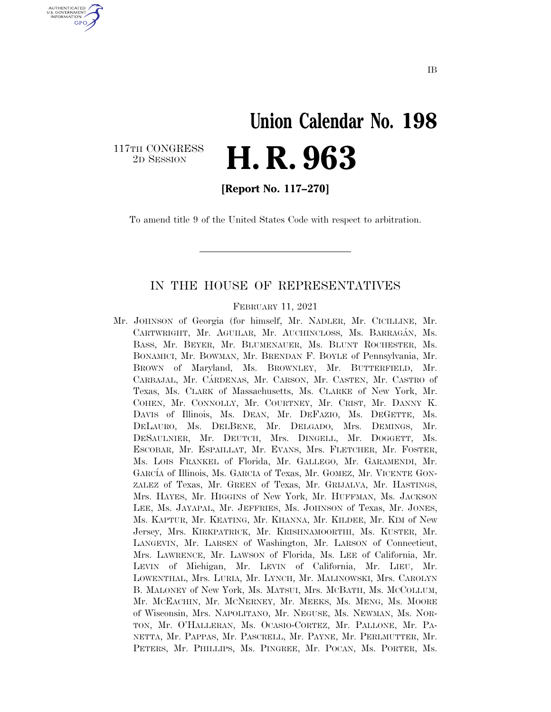# **Union Calendar No. 198**  2D SESSION **H. R. 963**

117TH CONGRESS<br>2D SESSION

U.S. GOVERNMENT **GPO** 

**[Report No. 117–270]** 

To amend title 9 of the United States Code with respect to arbitration.

#### IN THE HOUSE OF REPRESENTATIVES

FEBRUARY 11, 2021

Mr. JOHNSON of Georgia (for himself, Mr. NADLER, Mr. CICILLINE, Mr. CARTWRIGHT, Mr. AGUILAR, Mr. AUCHINCLOSS, Ms. BARRAGÁN, Ms. BASS, Mr. BEYER, Mr. BLUMENAUER, Ms. BLUNT ROCHESTER, Ms. BONAMICI, Mr. BOWMAN, Mr. BRENDAN F. BOYLE of Pennsylvania, Mr. BROWN of Maryland, Ms. BROWNLEY, Mr. BUTTERFIELD, Mr. CARBAJAL, Mr. CÁRDENAS, Mr. CARSON, Mr. CASTEN, Mr. CASTRO of Texas, Ms. CLARK of Massachusetts, Ms. CLARKE of New York, Mr. COHEN, Mr. CONNOLLY, Mr. COURTNEY, Mr. CRIST, Mr. DANNY K. DAVIS of Illinois, Ms. DEAN, Mr. DEFAZIO, Ms. DEGETTE, Ms. DELAURO, Ms. DELBENE, Mr. DELGADO, Mrs. DEMINGS, Mr. DESAULNIER, Mr. DEUTCH, Mrs. DINGELL, Mr. DOGGETT, Ms. ESCOBAR, Mr. ESPAILLAT, Mr. EVANS, Mrs. FLETCHER, Mr. FOSTER, Ms. LOIS FRANKEL of Florida, Mr. GALLEGO, Mr. GARAMENDI, Mr. GARCÍA of Illinois, Ms. GARCIA of Texas, Mr. GOMEZ, Mr. VICENTE GON-ZALEZ of Texas, Mr. GREEN of Texas, Mr. GRIJALVA, Mr. HASTINGS, Mrs. HAYES, Mr. HIGGINS of New York, Mr. HUFFMAN, Ms. JACKSON LEE, Ms. JAYAPAL, Mr. JEFFRIES, Ms. JOHNSON of Texas, Mr. JONES, Ms. KAPTUR, Mr. KEATING, Mr. KHANNA, Mr. KILDEE, Mr. KIM of New Jersey, Mrs. KIRKPATRICK, Mr. KRISHNAMOORTHI, Ms. KUSTER, Mr. LANGEVIN, Mr. LARSEN of Washington, Mr. LARSON of Connecticut, Mrs. LAWRENCE, Mr. LAWSON of Florida, Ms. LEE of California, Mr. LEVIN of Michigan, Mr. LEVIN of California, Mr. LIEU, Mr. LOWENTHAL, Mrs. LURIA, Mr. LYNCH, Mr. MALINOWSKI, Mrs. CAROLYN B. MALONEY of New York, Ms. MATSUI, Mrs. MCBATH, Ms. MCCOLLUM, Mr. MCEACHIN, Mr. MCNERNEY, Mr. MEEKS, Ms. MENG, Ms. MOORE of Wisconsin, Mrs. NAPOLITANO, Mr. NEGUSE, Ms. NEWMAN, Ms. NOR-TON, Mr. O'HALLERAN, Ms. OCASIO-CORTEZ, Mr. PALLONE, Mr. PA-NETTA, Mr. PAPPAS, Mr. PASCRELL, Mr. PAYNE, Mr. PERLMUTTER, Mr. PETERS, Mr. PHILLIPS, Ms. PINGREE, Mr. POCAN, Ms. PORTER, Ms.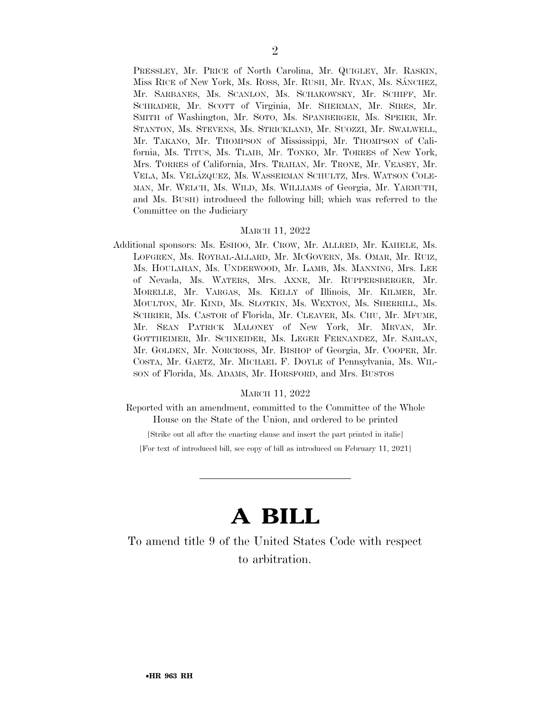PRESSLEY, Mr. PRICE of North Carolina, Mr. QUIGLEY, Mr. RASKIN, Miss RICE of New York, Ms. ROSS, Mr. RUSH, Mr. RYAN, Ms. SÁNCHEZ, Mr. SARBANES, Ms. SCANLON, Ms. SCHAKOWSKY, Mr. SCHIFF, Mr. SCHRADER, Mr. SCOTT of Virginia, Mr. SHERMAN, Mr. SIRES, Mr. SMITH of Washington, Mr. SOTO, Ms. SPANBERGER, Ms. SPEIER, Mr. STANTON, Ms. STEVENS, Ms. STRICKLAND, Mr. SUOZZI, Mr. SWALWELL, Mr. TAKANO, Mr. THOMPSON of Mississippi, Mr. THOMPSON of California, Ms. TITUS, Ms. TLAIB, Mr. TONKO, Mr. TORRES of New York, Mrs. TORRES of California, Mrs. TRAHAN, Mr. TRONE, Mr. VEASEY, Mr. VELA, Ms. VELA´ZQUEZ, Ms. WASSERMAN SCHULTZ, Mrs. WATSON COLE-MAN, Mr. WELCH, Ms. WILD, Ms. WILLIAMS of Georgia, Mr. YARMUTH, and Ms. BUSH) introduced the following bill; which was referred to the Committee on the Judiciary

#### MARCH 11, 2022

Additional sponsors: Ms. ESHOO, Mr. CROW, Mr. ALLRED, Mr. KAHELE, Ms. LOFGREN, Ms. ROYBAL-ALLARD, Mr. MCGOVERN, Ms. OMAR, Mr. RUIZ, Ms. HOULAHAN, Ms. UNDERWOOD, Mr. LAMB, Ms. MANNING, Mrs. LEE of Nevada, Ms. WATERS, Mrs. AXNE, Mr. RUPPERSBERGER, Mr. MORELLE, Mr. VARGAS, Ms. KELLY of Illinois, Mr. KILMER, Mr. MOULTON, Mr. KIND, Ms. SLOTKIN, Ms. WEXTON, Ms. SHERRILL, Ms. SCHRIER, Ms. CASTOR of Florida, Mr. CLEAVER, Ms. CHU, Mr. MFUME, Mr. SEAN PATRICK MALONEY of New York, Mr. MRVAN, Mr. GOTTHEIMER, Mr. SCHNEIDER, Ms. LEGER FERNANDEZ, Mr. SABLAN, Mr. GOLDEN, Mr. NORCROSS, Mr. BISHOP of Georgia, Mr. COOPER, Mr. COSTA, Mr. GAETZ, Mr. MICHAEL F. DOYLE of Pennsylvania, Ms. WIL-SON of Florida, Ms. ADAMS, Mr. HORSFORD, and Mrs. BUSTOS

#### MARCH 11, 2022

Reported with an amendment, committed to the Committee of the Whole House on the State of the Union, and ordered to be printed

[Strike out all after the enacting clause and insert the part printed in italic]

[For text of introduced bill, see copy of bill as introduced on February 11, 2021]

## **A BILL**

To amend title 9 of the United States Code with respect to arbitration.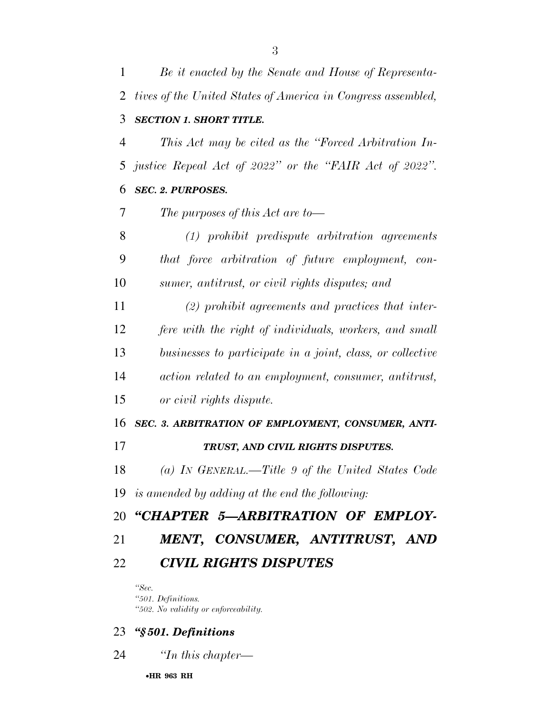*Be it enacted by the Senate and House of Representa- tives of the United States of America in Congress assembled, SECTION 1. SHORT TITLE. This Act may be cited as the ''Forced Arbitration In- justice Repeal Act of 2022'' or the ''FAIR Act of 2022''. SEC. 2. PURPOSES. The purposes of this Act are to— (1) prohibit predispute arbitration agreements that force arbitration of future employment, con- sumer, antitrust, or civil rights disputes; and (2) prohibit agreements and practices that inter- fere with the right of individuals, workers, and small businesses to participate in a joint, class, or collective action related to an employment, consumer, antitrust, or civil rights dispute. SEC. 3. ARBITRATION OF EMPLOYMENT, CONSUMER, ANTI- TRUST, AND CIVIL RIGHTS DISPUTES. (a) IN GENERAL.—Title 9 of the United States Code is amended by adding at the end the following: ''CHAPTER 5—ARBITRATION OF EMPLOY- MENT, CONSUMER, ANTITRUST, AND CIVIL RIGHTS DISPUTES ''Sec.* 

*''501. Definitions. ''502. No validity or enforceability.* 

#### *''§ 501. Definitions*

*''In this chapter—* 

•**HR 963 RH**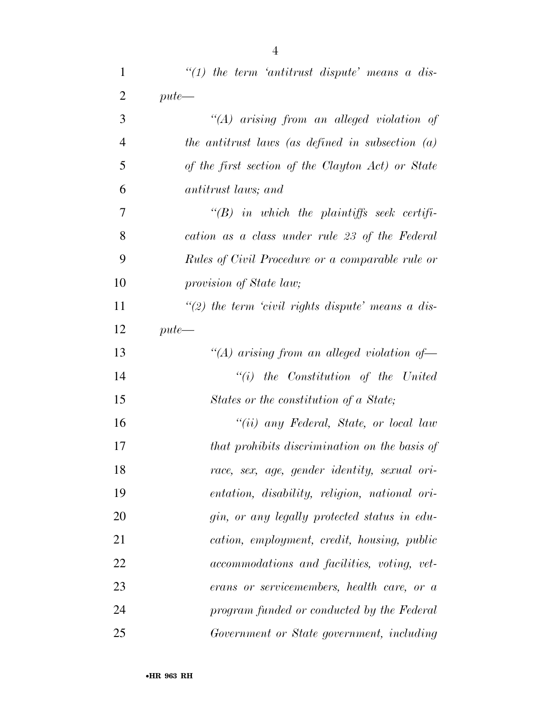| $\mathbf{1}$   | $"(1)$ the term 'antitrust dispute' means a dis-     |
|----------------|------------------------------------------------------|
| $\overline{2}$ | $pute$ —                                             |
| 3              | $\lq\lq (A)$ arising from an alleged violation of    |
| $\overline{4}$ | the antitrust laws (as defined in subsection $(a)$   |
| 5              | of the first section of the Clayton Act) or State    |
| 6              | antitrust laws; and                                  |
| 7              | $\lq\lq B$ in which the plaintiffs seek certifi-     |
| 8              | cation as a class under rule 23 of the Federal       |
| 9              | Rules of Civil Procedure or a comparable rule or     |
| 10             | provision of State law;                              |
| 11             | "(2) the term 'civil rights dispute' means a dis-    |
| 12             | $pute$ —                                             |
| 13             | "(A) arising from an alleged violation of            |
| 14             | $``(i)$ the Constitution of the United               |
| 15             | States or the constitution of a State;               |
| 16             | "(ii) any Federal, State, or local law               |
| 17             | that prohibits discrimination on the basis of        |
| 18             | race, sex, age, gender identity, sexual ori-         |
| 19             | <i>entation, disability, religion, national ori-</i> |
| 20             | gin, or any legally protected status in edu-         |
| 21             | cation, employment, credit, housing, public          |
| 22             | accommodations and facilities, voting, vet-          |
| 23             | erans or servicemembers, health care, or a           |
| 24             | program funded or conducted by the Federal           |
| 25             | Government or State government, including            |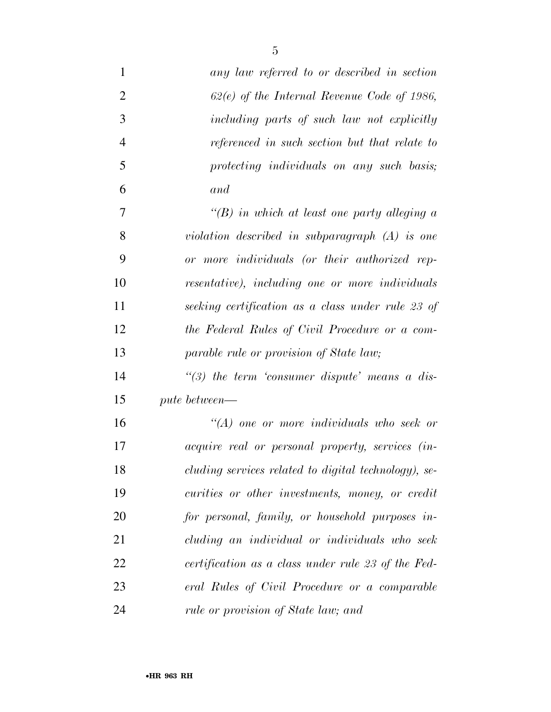| $\mathbf{1}$   | any law referred to or described in section             |
|----------------|---------------------------------------------------------|
| $\overline{2}$ | $62(e)$ of the Internal Revenue Code of 1986,           |
| 3              | including parts of such law not explicitly              |
| $\overline{4}$ | referenced in such section but that relate to           |
| 5              | protecting individuals on any such basis;               |
| 6              | and                                                     |
| 7              | "(B) in which at least one party alleging $a$           |
| 8              | violation described in subparagraph $(A)$ is one        |
| 9              | or more individuals (or their authorized rep-           |
| 10             | resentative), including one or more individuals         |
| 11             | seeking certification as a class under rule 23 of       |
| 12             | the Federal Rules of Civil Procedure or a com-          |
| 13             | parable rule or provision of State law;                 |
| 14             | $\lq(3)$ the term 'consumer dispute' means a dis-       |
| 15             | pute between—                                           |
| 16             | $\lq (A)$ one or more individuals who seek or           |
| 17             | <i>acquire real or personal property, services (in-</i> |
| 18             | cluding services related to digital technology), se-    |
| 19             | curities or other investments, money, or credit         |
| 20             | for personal, family, or household purposes in-         |
| 21             | cluding an individual or individuals who seek           |
| 22             | certification as a class under rule 23 of the Fed-      |
| 23             | eral Rules of Civil Procedure or a comparable           |
| 24             | rule or provision of State law; and                     |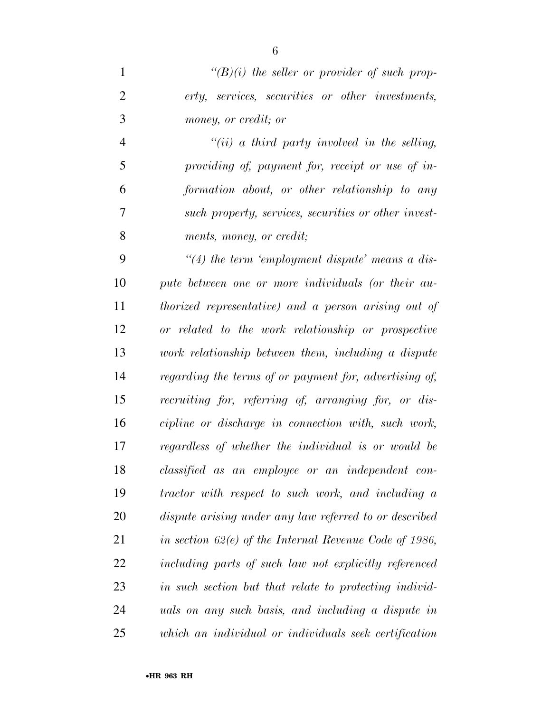*''(B)(i) the seller or provider of such prop- erty, services, securities or other investments, money, or credit; or* 

 *''(ii) a third party involved in the selling, providing of, payment for, receipt or use of in- formation about, or other relationship to any such property, services, securities or other invest-ments, money, or credit;* 

 *''(4) the term 'employment dispute' means a dis- pute between one or more individuals (or their au- thorized representative) and a person arising out of or related to the work relationship or prospective work relationship between them, including a dispute regarding the terms of or payment for, advertising of, recruiting for, referring of, arranging for, or dis- cipline or discharge in connection with, such work, regardless of whether the individual is or would be classified as an employee or an independent con- tractor with respect to such work, and including a dispute arising under any law referred to or described in section 62(e) of the Internal Revenue Code of 1986, including parts of such law not explicitly referenced in such section but that relate to protecting individ- uals on any such basis, and including a dispute in which an individual or individuals seek certification*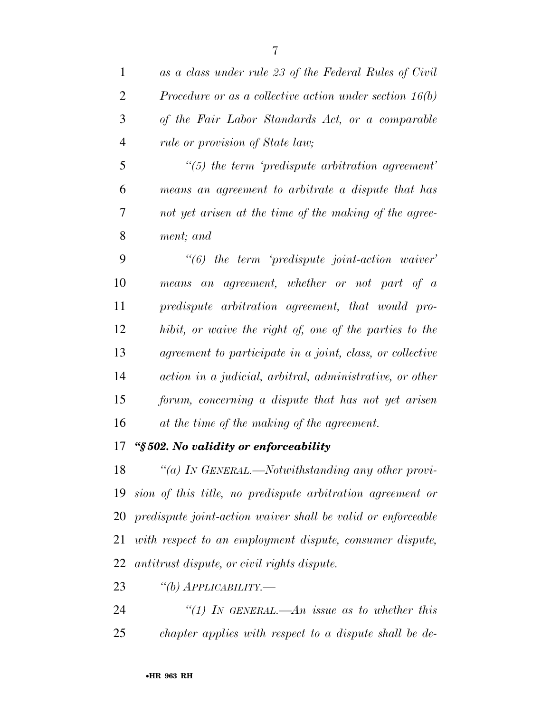|   | as a class under rule 23 of the Federal Rules of Civil  |
|---|---------------------------------------------------------|
|   | Procedure or as a collective action under section 16(b) |
| 3 | of the Fair Labor Standards Act, or a comparable        |
| 4 | rule or provision of State law;                         |

 *''(5) the term 'predispute arbitration agreement' means an agreement to arbitrate a dispute that has not yet arisen at the time of the making of the agree-ment; and* 

 *''(6) the term 'predispute joint-action waiver' means an agreement, whether or not part of a predispute arbitration agreement, that would pro- hibit, or waive the right of, one of the parties to the agreement to participate in a joint, class, or collective action in a judicial, arbitral, administrative, or other forum, concerning a dispute that has not yet arisen at the time of the making of the agreement.* 

### *''§ 502. No validity or enforceability*

 *''(a) IN GENERAL.—Notwithstanding any other provi- sion of this title, no predispute arbitration agreement or predispute joint-action waiver shall be valid or enforceable with respect to an employment dispute, consumer dispute, antitrust dispute, or civil rights dispute.* 

- *''(b) APPLICABILITY.—*
- *''(1) IN GENERAL.—An issue as to whether this chapter applies with respect to a dispute shall be de-*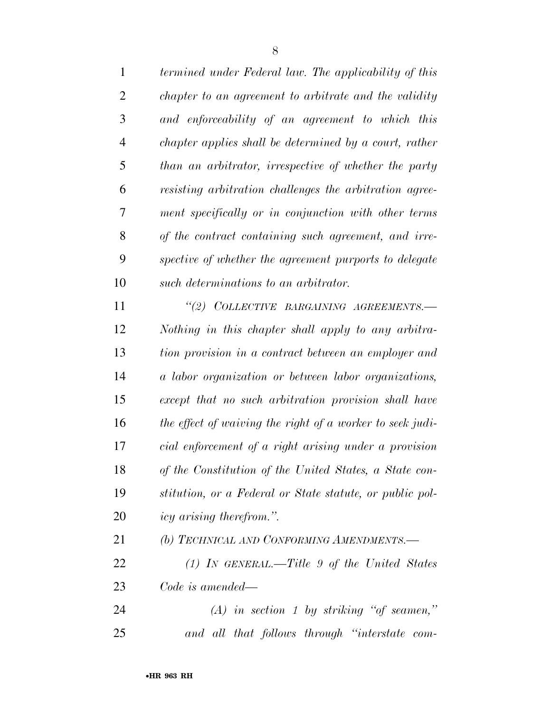| $\mathbf{1}$   | termined under Federal law. The applicability of this     |
|----------------|-----------------------------------------------------------|
| $\overline{2}$ | chapter to an agreement to arbitrate and the validity     |
| 3              | and enforceability of an agreement to which this          |
| $\overline{4}$ | chapter applies shall be determined by a court, rather    |
| 5              | than an arbitrator, irrespective of whether the party     |
| 6              | resisting arbitration challenges the arbitration agree-   |
| 7              | ment specifically or in conjunction with other terms      |
| 8              | of the contract containing such agreement, and irre-      |
| 9              | spective of whether the agreement purports to delegate    |
| 10             | such determinations to an arbitrator.                     |
| 11             | "(2) COLLECTIVE BARGAINING AGREEMENTS.-                   |
| 12             | Nothing in this chapter shall apply to any arbitra-       |
| 13             | tion provision in a contract between an employer and      |
| 14             | a labor organization or between labor organizations,      |
| 15             | except that no such arbitration provision shall have      |
| 16             | the effect of waiving the right of a worker to seek judi- |
| 17             | cial enforcement of a right arising under a provision     |
| 18             | of the Constitution of the United States, a State con-    |
| 19             | stitution, or a Federal or State statute, or public pol-  |
| 20             | <i>icy arising therefrom.</i> ".                          |
| 21             | (b) TECHNICAL AND CONFORMING AMENDMENTS.—                 |
| 22             | $(1)$ IN GENERAL.—Title 9 of the United States            |
| 23             | Code is amended—                                          |
| 24             | $(A)$ in section 1 by striking "of seamen,"               |

*and all that follows through ''interstate com-*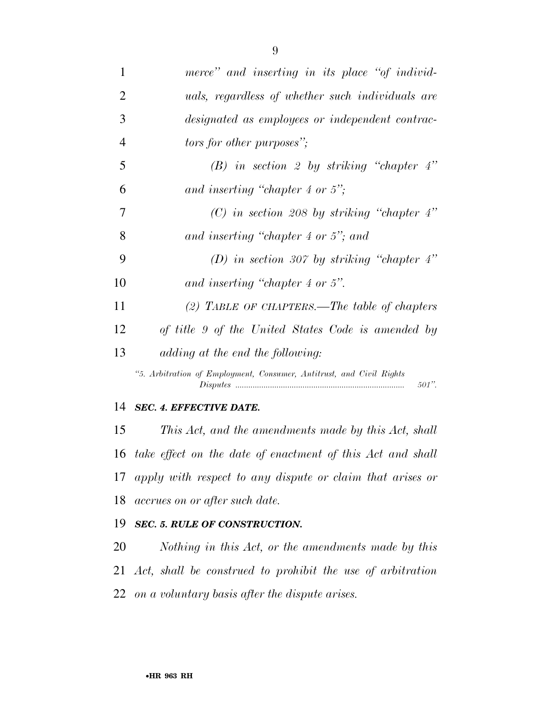| 1              | merce" and inserting in its place "of individ-                                   |
|----------------|----------------------------------------------------------------------------------|
| $\overline{2}$ | uals, regardless of whether such individuals are                                 |
| 3              | designated as employees or independent contrac-                                  |
| $\overline{4}$ | <i>tors for other purposes</i> ";                                                |
| 5              | $(B)$ in section 2 by striking "chapter 4"                                       |
| 6              | and inserting "chapter 4 or 5";                                                  |
| 7              | (C) in section 208 by striking "chapter $4$ "                                    |
| 8              | and inserting "chapter 4 or $5$ "; and                                           |
| 9              | (D) in section 307 by striking "chapter $4$ "                                    |
| 10             | and inserting "chapter 4 or 5".                                                  |
| 11             | (2) TABLE OF CHAPTERS.—The table of chapters                                     |
| 12             | of title 9 of the United States Code is amended by                               |
| 13             | adding at the end the following:                                                 |
|                | "5. Arbitration of Employment, Consumer, Antitrust, and Civil Rights<br>$501$ ". |

#### *SEC. 4. EFFECTIVE DATE.*

 *This Act, and the amendments made by this Act, shall take effect on the date of enactment of this Act and shall apply with respect to any dispute or claim that arises or accrues on or after such date.* 

### *SEC. 5. RULE OF CONSTRUCTION.*

 *Nothing in this Act, or the amendments made by this Act, shall be construed to prohibit the use of arbitration on a voluntary basis after the dispute arises.*